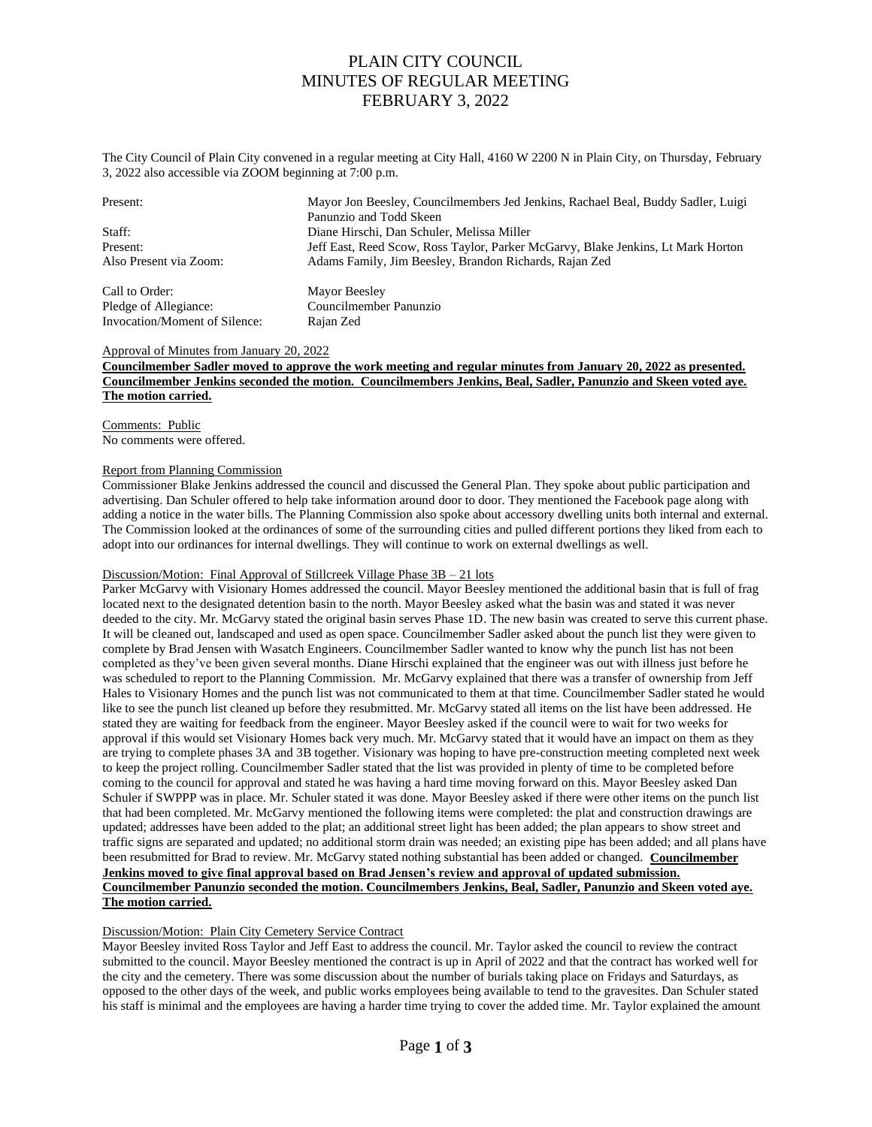The City Council of Plain City convened in a regular meeting at City Hall, 4160 W 2200 N in Plain City, on Thursday, February 3, 2022 also accessible via ZOOM beginning at 7:00 p.m.

| Present:                      | Mayor Jon Beesley, Councilmembers Jed Jenkins, Rachael Beal, Buddy Sadler, Luigi<br>Panunzio and Todd Skeen |
|-------------------------------|-------------------------------------------------------------------------------------------------------------|
| Staff:                        | Diane Hirschi, Dan Schuler, Melissa Miller                                                                  |
| Present:                      | Jeff East, Reed Scow, Ross Taylor, Parker McGarvy, Blake Jenkins, Lt Mark Horton                            |
| Also Present via Zoom:        | Adams Family, Jim Beesley, Brandon Richards, Rajan Zed                                                      |
| Call to Order:                | Mayor Beesley                                                                                               |
| Pledge of Allegiance:         | Councilmember Panunzio                                                                                      |
| Invocation/Moment of Silence: | Rajan Zed                                                                                                   |

### Approval of Minutes from January 20, 2022

**Councilmember Sadler moved to approve the work meeting and regular minutes from January 20, 2022 as presented. Councilmember Jenkins seconded the motion. Councilmembers Jenkins, Beal, Sadler, Panunzio and Skeen voted aye. The motion carried.**

Comments: Public No comments were offered.

### Report from Planning Commission

Commissioner Blake Jenkins addressed the council and discussed the General Plan. They spoke about public participation and advertising. Dan Schuler offered to help take information around door to door. They mentioned the Facebook page along with adding a notice in the water bills. The Planning Commission also spoke about accessory dwelling units both internal and external. The Commission looked at the ordinances of some of the surrounding cities and pulled different portions they liked from each to adopt into our ordinances for internal dwellings. They will continue to work on external dwellings as well.

# Discussion/Motion: Final Approval of Stillcreek Village Phase 3B – 21 lots

Parker McGarvy with Visionary Homes addressed the council. Mayor Beesley mentioned the additional basin that is full of frag located next to the designated detention basin to the north. Mayor Beesley asked what the basin was and stated it was never deeded to the city. Mr. McGarvy stated the original basin serves Phase 1D. The new basin was created to serve this current phase. It will be cleaned out, landscaped and used as open space. Councilmember Sadler asked about the punch list they were given to complete by Brad Jensen with Wasatch Engineers. Councilmember Sadler wanted to know why the punch list has not been completed as they've been given several months. Diane Hirschi explained that the engineer was out with illness just before he was scheduled to report to the Planning Commission. Mr. McGarvy explained that there was a transfer of ownership from Jeff Hales to Visionary Homes and the punch list was not communicated to them at that time. Councilmember Sadler stated he would like to see the punch list cleaned up before they resubmitted. Mr. McGarvy stated all items on the list have been addressed. He stated they are waiting for feedback from the engineer. Mayor Beesley asked if the council were to wait for two weeks for approval if this would set Visionary Homes back very much. Mr. McGarvy stated that it would have an impact on them as they are trying to complete phases 3A and 3B together. Visionary was hoping to have pre-construction meeting completed next week to keep the project rolling. Councilmember Sadler stated that the list was provided in plenty of time to be completed before coming to the council for approval and stated he was having a hard time moving forward on this. Mayor Beesley asked Dan Schuler if SWPPP was in place. Mr. Schuler stated it was done. Mayor Beesley asked if there were other items on the punch list that had been completed. Mr. McGarvy mentioned the following items were completed: the plat and construction drawings are updated; addresses have been added to the plat; an additional street light has been added; the plan appears to show street and traffic signs are separated and updated; no additional storm drain was needed; an existing pipe has been added; and all plans have been resubmitted for Brad to review. Mr. McGarvy stated nothing substantial has been added or changed. **Councilmember Jenkins moved to give final approval based on Brad Jensen's review and approval of updated submission. Councilmember Panunzio seconded the motion. Councilmembers Jenkins, Beal, Sadler, Panunzio and Skeen voted aye. The motion carried.**

# Discussion/Motion: Plain City Cemetery Service Contract

Mayor Beesley invited Ross Taylor and Jeff East to address the council. Mr. Taylor asked the council to review the contract submitted to the council. Mayor Beesley mentioned the contract is up in April of 2022 and that the contract has worked well for the city and the cemetery. There was some discussion about the number of burials taking place on Fridays and Saturdays, as opposed to the other days of the week, and public works employees being available to tend to the gravesites. Dan Schuler stated his staff is minimal and the employees are having a harder time trying to cover the added time. Mr. Taylor explained the amount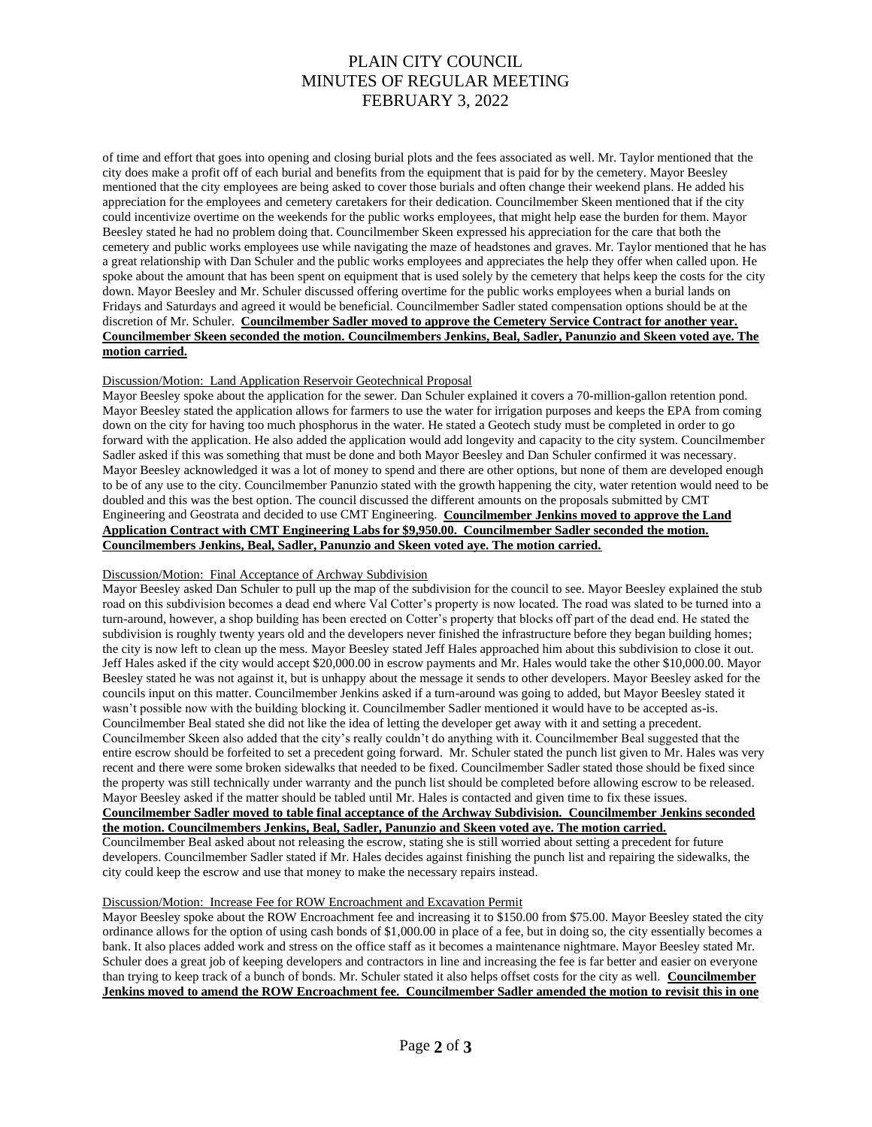of time and effort that goes into opening and closing burial plots and the fees associated as well. Mr. Taylor mentioned that the city does make a profit off of each burial and benefits from the equipment that is paid for by the cemetery. Mayor Beesley mentioned that the city employees are being asked to cover those burials and often change their weekend plans. He added his appreciation for the employees and cemetery caretakers for their dedication. Councilmember Skeen mentioned that if the city could incentivize overtime on the weekends for the public works employees, that might help ease the burden for them. Mayor Beesley stated he had no problem doing that. Councilmember Skeen expressed his appreciation for the care that both the cemetery and public works employees use while navigating the maze of headstones and graves. Mr. Taylor mentioned that he has a great relationship with Dan Schuler and the public works employees and appreciates the help they offer when called upon. He spoke about the amount that has been spent on equipment that is used solely by the cemetery that helps keep the costs for the city down. Mayor Beesley and Mr. Schuler discussed offering overtime for the public works employees when a burial lands on Fridays and Saturdays and agreed it would be beneficial. Councilmember Sadler stated compensation options should be at the discretion of Mr. Schuler. **Councilmember Sadler moved to approve the Cemetery Service Contract for another year. Councilmember Skeen seconded the motion. Councilmembers Jenkins, Beal, Sadler, Panunzio and Skeen voted aye. The motion carried.** 

### Discussion/Motion: Land Application Reservoir Geotechnical Proposal

Mayor Beesley spoke about the application for the sewer. Dan Schuler explained it covers a 70-million-gallon retention pond. Mayor Beesley stated the application allows for farmers to use the water for irrigation purposes and keeps the EPA from coming down on the city for having too much phosphorus in the water. He stated a Geotech study must be completed in order to go forward with the application. He also added the application would add longevity and capacity to the city system. Councilmember Sadler asked if this was something that must be done and both Mayor Beesley and Dan Schuler confirmed it was necessary. Mayor Beesley acknowledged it was a lot of money to spend and there are other options, but none of them are developed enough to be of any use to the city. Councilmember Panunzio stated with the growth happening the city, water retention would need to be doubled and this was the best option. The council discussed the different amounts on the proposals submitted by CMT Engineering and Geostrata and decided to use CMT Engineering. **Councilmember Jenkins moved to approve the Land Application Contract with CMT Engineering Labs for \$9,950.00. Councilmember Sadler seconded the motion. Councilmembers Jenkins, Beal, Sadler, Panunzio and Skeen voted aye. The motion carried.** 

#### Discussion/Motion: Final Acceptance of Archway Subdivision

Mayor Beesley asked Dan Schuler to pull up the map of the subdivision for the council to see. Mayor Beesley explained the stub road on this subdivision becomes a dead end where Val Cotter's property is now located. The road was slated to be turned into a turn-around, however, a shop building has been erected on Cotter's property that blocks off part of the dead end. He stated the subdivision is roughly twenty years old and the developers never finished the infrastructure before they began building homes; the city is now left to clean up the mess. Mayor Beesley stated Jeff Hales approached him about this subdivision to close it out. Jeff Hales asked if the city would accept \$20,000.00 in escrow payments and Mr. Hales would take the other \$10,000.00. Mayor Beesley stated he was not against it, but is unhappy about the message it sends to other developers. Mayor Beesley asked for the councils input on this matter. Councilmember Jenkins asked if a turn-around was going to added, but Mayor Beesley stated it wasn't possible now with the building blocking it. Councilmember Sadler mentioned it would have to be accepted as-is. Councilmember Beal stated she did not like the idea of letting the developer get away with it and setting a precedent. Councilmember Skeen also added that the city's really couldn't do anything with it. Councilmember Beal suggested that the entire escrow should be forfeited to set a precedent going forward. Mr. Schuler stated the punch list given to Mr. Hales was very recent and there were some broken sidewalks that needed to be fixed. Councilmember Sadler stated those should be fixed since the property was still technically under warranty and the punch list should be completed before allowing escrow to be released. Mayor Beesley asked if the matter should be tabled until Mr. Hales is contacted and given time to fix these issues. **Councilmember Sadler moved to table final acceptance of the Archway Subdivision. Councilmember Jenkins seconded the motion. Councilmembers Jenkins, Beal, Sadler, Panunzio and Skeen voted aye. The motion carried.** 

Councilmember Beal asked about not releasing the escrow, stating she is still worried about setting a precedent for future developers. Councilmember Sadler stated if Mr. Hales decides against finishing the punch list and repairing the sidewalks, the city could keep the escrow and use that money to make the necessary repairs instead.

### Discussion/Motion: Increase Fee for ROW Encroachment and Excavation Permit

Mayor Beesley spoke about the ROW Encroachment fee and increasing it to \$150.00 from \$75.00. Mayor Beesley stated the city ordinance allows for the option of using cash bonds of \$1,000.00 in place of a fee, but in doing so, the city essentially becomes a bank. It also places added work and stress on the office staff as it becomes a maintenance nightmare. Mayor Beesley stated Mr. Schuler does a great job of keeping developers and contractors in line and increasing the fee is far better and easier on everyone than trying to keep track of a bunch of bonds. Mr. Schuler stated it also helps offset costs for the city as well. **Councilmember Jenkins moved to amend the ROW Encroachment fee. Councilmember Sadler amended the motion to revisit this in one**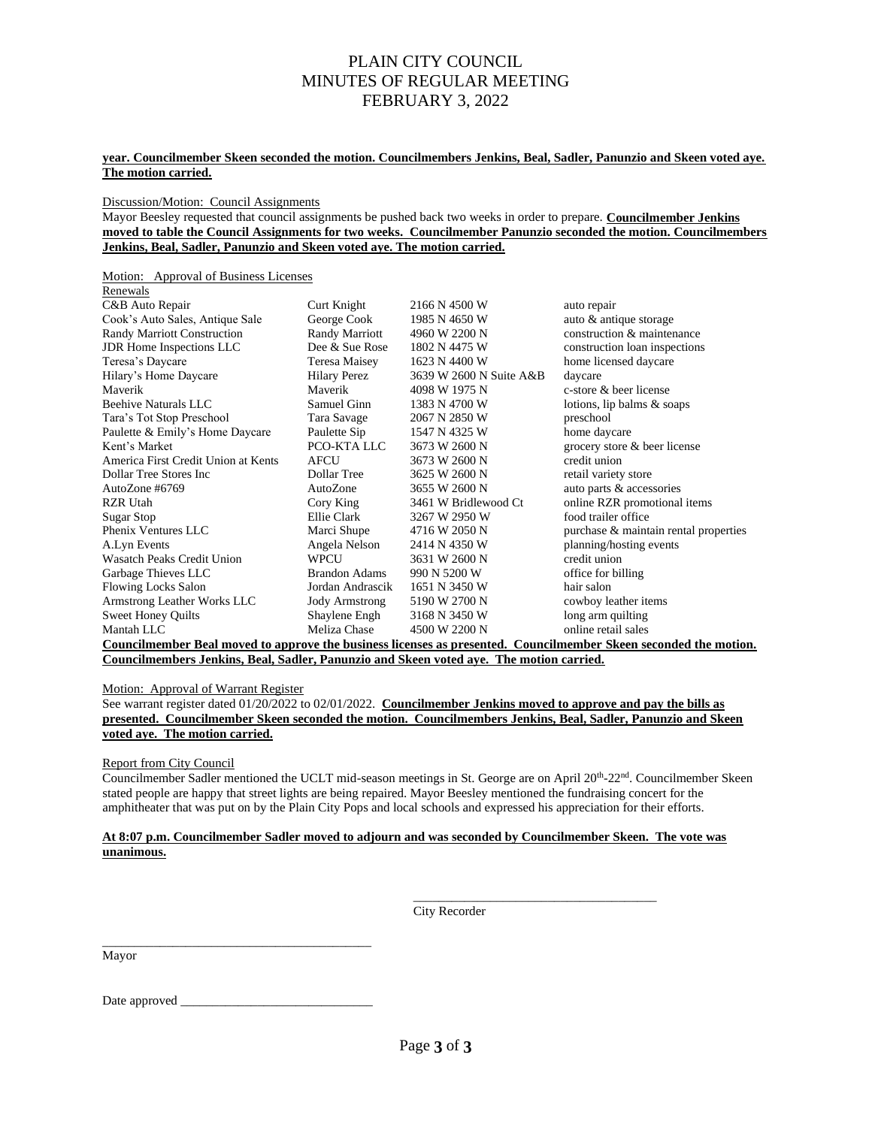### **year. Councilmember Skeen seconded the motion. Councilmembers Jenkins, Beal, Sadler, Panunzio and Skeen voted aye. The motion carried.**

Discussion/Motion: Council Assignments

Mayor Beesley requested that council assignments be pushed back two weeks in order to prepare. **Councilmember Jenkins moved to table the Council Assignments for two weeks. Councilmember Panunzio seconded the motion. Councilmembers Jenkins, Beal, Sadler, Panunzio and Skeen voted aye. The motion carried.** 

Motion: Approval of Business Licenses

| Renewals                                                                                |                       |                         |                                                                                                                  |  |  |  |
|-----------------------------------------------------------------------------------------|-----------------------|-------------------------|------------------------------------------------------------------------------------------------------------------|--|--|--|
| C&B Auto Repair                                                                         | Curt Knight           | 2166 N 4500 W           | auto repair                                                                                                      |  |  |  |
| Cook's Auto Sales, Antique Sale                                                         | George Cook           | 1985 N 4650 W           | auto & antique storage                                                                                           |  |  |  |
| <b>Randy Marriott Construction</b>                                                      | Randy Marriott        | 4960 W 2200 N           | construction & maintenance                                                                                       |  |  |  |
| JDR Home Inspections LLC                                                                | Dee & Sue Rose        | 1802 N 4475 W           | construction loan inspections                                                                                    |  |  |  |
| Teresa's Daycare                                                                        | Teresa Maisey         | 1623 N 4400 W           | home licensed daycare                                                                                            |  |  |  |
| Hilary's Home Daycare                                                                   | <b>Hilary Perez</b>   | 3639 W 2600 N Suite A&B | daycare                                                                                                          |  |  |  |
| Maverik                                                                                 | Maverik               | 4098 W 1975 N           | c-store & beer license                                                                                           |  |  |  |
| Beehive Naturals LLC                                                                    | Samuel Ginn           | 1383 N 4700 W           | lotions, lip balms & soaps                                                                                       |  |  |  |
| Tara's Tot Stop Preschool                                                               | Tara Savage           | 2067 N 2850 W           | preschool                                                                                                        |  |  |  |
| Paulette & Emily's Home Daycare                                                         | Paulette Sip          | 1547 N 4325 W           | home daycare                                                                                                     |  |  |  |
| Kent's Market                                                                           | PCO-KTALLC            | 3673 W 2600 N           | grocery store & beer license                                                                                     |  |  |  |
| America First Credit Union at Kents                                                     | <b>AFCU</b>           | 3673 W 2600 N           | credit union                                                                                                     |  |  |  |
| Dollar Tree Stores Inc.                                                                 | Dollar Tree           | 3625 W 2600 N           | retail variety store                                                                                             |  |  |  |
| Auto $Z$ one #6769                                                                      | AutoZone              | 3655 W 2600 N           | auto parts & accessories                                                                                         |  |  |  |
| RZR Utah                                                                                | Cory King             | 3461 W Bridlewood Ct    | online RZR promotional items                                                                                     |  |  |  |
| Sugar Stop                                                                              | Ellie Clark           | 3267 W 2950 W           | food trailer office                                                                                              |  |  |  |
| Phenix Ventures LLC                                                                     | Marci Shupe           | 4716 W 2050 N           | purchase & maintain rental properties                                                                            |  |  |  |
| A.Lyn Events                                                                            | Angela Nelson         | 2414 N 4350 W           | planning/hosting events                                                                                          |  |  |  |
| <b>Wasatch Peaks Credit Union</b>                                                       | WPCU                  | 3631 W 2600 N           | credit union                                                                                                     |  |  |  |
| Garbage Thieves LLC                                                                     | Brandon Adams         | 990 N 5200 W            | office for billing                                                                                               |  |  |  |
| <b>Flowing Locks Salon</b>                                                              | Jordan Andrascik      | 1651 N 3450 W           | hair salon                                                                                                       |  |  |  |
| Armstrong Leather Works LLC                                                             | <b>Jody Armstrong</b> | 5190 W 2700 N           | cowboy leather items                                                                                             |  |  |  |
| <b>Sweet Honey Quilts</b>                                                               | Shaylene Engh         | 3168 N 3450 W           | long arm quilting                                                                                                |  |  |  |
| Mantah LLC                                                                              | Meliza Chase          | 4500 W 2200 N           | online retail sales                                                                                              |  |  |  |
|                                                                                         |                       |                         | Councilmember Beal moved to approve the business licenses as presented. Councilmember Skeen seconded the motion. |  |  |  |
| Councilmembers Jenkins, Beal, Sadler, Panunzio and Skeen voted aye. The motion carried. |                       |                         |                                                                                                                  |  |  |  |

Motion: Approval of Warrant Register

See warrant register dated 01/20/2022 to 02/01/2022. **Councilmember Jenkins moved to approve and pay the bills as presented. Councilmember Skeen seconded the motion. Councilmembers Jenkins, Beal, Sadler, Panunzio and Skeen voted aye. The motion carried.**

Report from City Council

Councilmember Sadler mentioned the UCLT mid-season meetings in St. George are on April 20<sup>th</sup>-22<sup>nd</sup>. Councilmember Skeen stated people are happy that street lights are being repaired. Mayor Beesley mentioned the fundraising concert for the amphitheater that was put on by the Plain City Pops and local schools and expressed his appreciation for their efforts.

### **At 8:07 p.m. Councilmember Sadler moved to adjourn and was seconded by Councilmember Skeen. The vote was unanimous.**

City Recorder

\_\_\_\_\_\_\_\_\_\_\_\_\_\_\_\_\_\_\_\_\_\_\_\_\_\_\_\_\_\_\_\_\_\_\_\_\_\_

Mayor

Date approved \_\_\_\_\_\_\_\_\_\_\_\_\_\_\_\_\_\_\_\_\_\_\_\_\_\_\_\_\_\_

\_\_\_\_\_\_\_\_\_\_\_\_\_\_\_\_\_\_\_\_\_\_\_\_\_\_\_\_\_\_\_\_\_\_\_\_\_\_\_\_\_\_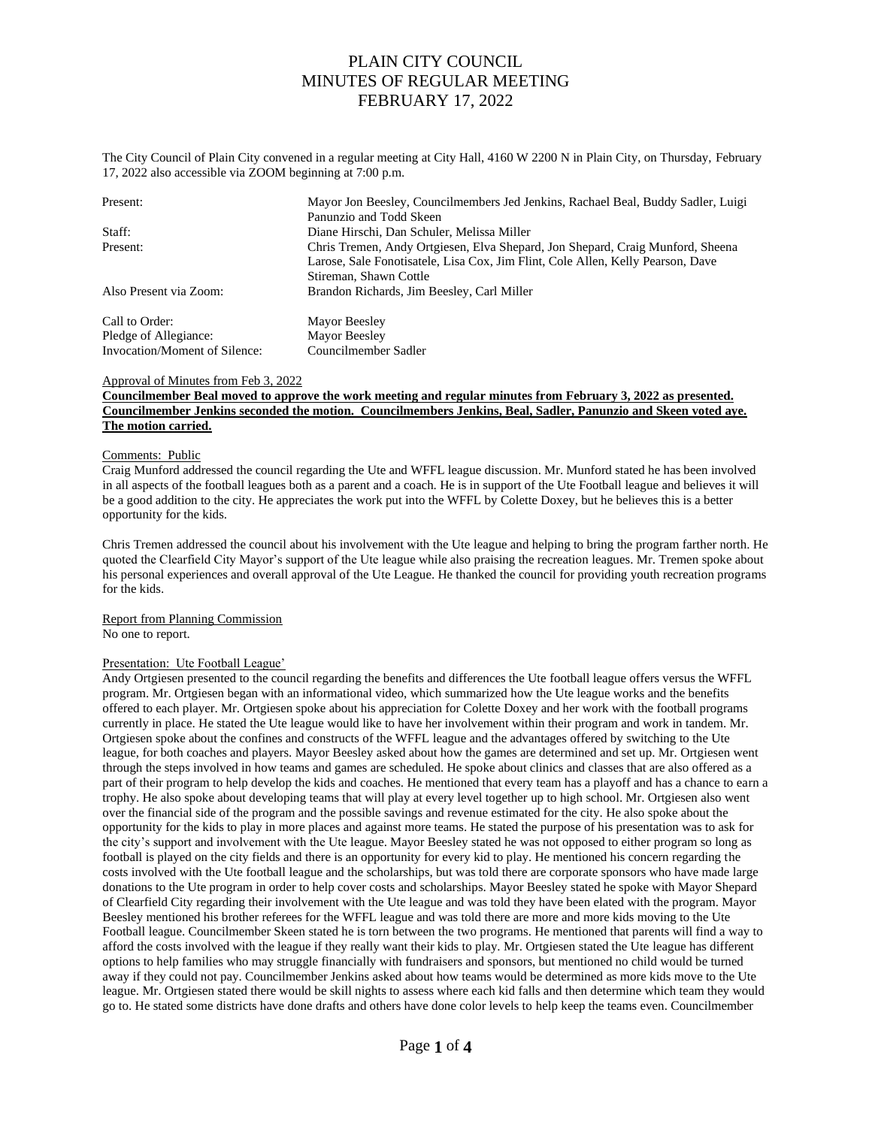The City Council of Plain City convened in a regular meeting at City Hall, 4160 W 2200 N in Plain City, on Thursday, February 17, 2022 also accessible via ZOOM beginning at 7:00 p.m.

| Present:                      | Mayor Jon Beesley, Councilmembers Jed Jenkins, Rachael Beal, Buddy Sadler, Luigi |  |  |
|-------------------------------|----------------------------------------------------------------------------------|--|--|
|                               | Panunzio and Todd Skeen                                                          |  |  |
| Staff:                        | Diane Hirschi, Dan Schuler, Melissa Miller                                       |  |  |
| Present:                      | Chris Tremen, Andy Ortgiesen, Elva Shepard, Jon Shepard, Craig Munford, Sheena   |  |  |
|                               | Larose, Sale Fonotisatele, Lisa Cox, Jim Flint, Cole Allen, Kelly Pearson, Dave  |  |  |
|                               | Stireman, Shawn Cottle                                                           |  |  |
| Also Present via Zoom:        | Brandon Richards, Jim Beesley, Carl Miller                                       |  |  |
| Call to Order:                | Mayor Beesley                                                                    |  |  |
| Pledge of Allegiance:         | Mayor Beesley                                                                    |  |  |
| Invocation/Moment of Silence: | Councilmember Sadler                                                             |  |  |

#### Approval of Minutes from Feb 3, 2022

#### **Councilmember Beal moved to approve the work meeting and regular minutes from February 3, 2022 as presented. Councilmember Jenkins seconded the motion. Councilmembers Jenkins, Beal, Sadler, Panunzio and Skeen voted aye. The motion carried.**

#### Comments: Public

Craig Munford addressed the council regarding the Ute and WFFL league discussion. Mr. Munford stated he has been involved in all aspects of the football leagues both as a parent and a coach. He is in support of the Ute Football league and believes it will be a good addition to the city. He appreciates the work put into the WFFL by Colette Doxey, but he believes this is a better opportunity for the kids.

Chris Tremen addressed the council about his involvement with the Ute league and helping to bring the program farther north. He quoted the Clearfield City Mayor's support of the Ute league while also praising the recreation leagues. Mr. Tremen spoke about his personal experiences and overall approval of the Ute League. He thanked the council for providing youth recreation programs for the kids.

# Report from Planning Commission

No one to report.

#### Presentation: Ute Football League'

Andy Ortgiesen presented to the council regarding the benefits and differences the Ute football league offers versus the WFFL program. Mr. Ortgiesen began with an informational video, which summarized how the Ute league works and the benefits offered to each player. Mr. Ortgiesen spoke about his appreciation for Colette Doxey and her work with the football programs currently in place. He stated the Ute league would like to have her involvement within their program and work in tandem. Mr. Ortgiesen spoke about the confines and constructs of the WFFL league and the advantages offered by switching to the Ute league, for both coaches and players. Mayor Beesley asked about how the games are determined and set up. Mr. Ortgiesen went through the steps involved in how teams and games are scheduled. He spoke about clinics and classes that are also offered as a part of their program to help develop the kids and coaches. He mentioned that every team has a playoff and has a chance to earn a trophy. He also spoke about developing teams that will play at every level together up to high school. Mr. Ortgiesen also went over the financial side of the program and the possible savings and revenue estimated for the city. He also spoke about the opportunity for the kids to play in more places and against more teams. He stated the purpose of his presentation was to ask for the city's support and involvement with the Ute league. Mayor Beesley stated he was not opposed to either program so long as football is played on the city fields and there is an opportunity for every kid to play. He mentioned his concern regarding the costs involved with the Ute football league and the scholarships, but was told there are corporate sponsors who have made large donations to the Ute program in order to help cover costs and scholarships. Mayor Beesley stated he spoke with Mayor Shepard of Clearfield City regarding their involvement with the Ute league and was told they have been elated with the program. Mayor Beesley mentioned his brother referees for the WFFL league and was told there are more and more kids moving to the Ute Football league. Councilmember Skeen stated he is torn between the two programs. He mentioned that parents will find a way to afford the costs involved with the league if they really want their kids to play. Mr. Ortgiesen stated the Ute league has different options to help families who may struggle financially with fundraisers and sponsors, but mentioned no child would be turned away if they could not pay. Councilmember Jenkins asked about how teams would be determined as more kids move to the Ute league. Mr. Ortgiesen stated there would be skill nights to assess where each kid falls and then determine which team they would go to. He stated some districts have done drafts and others have done color levels to help keep the teams even. Councilmember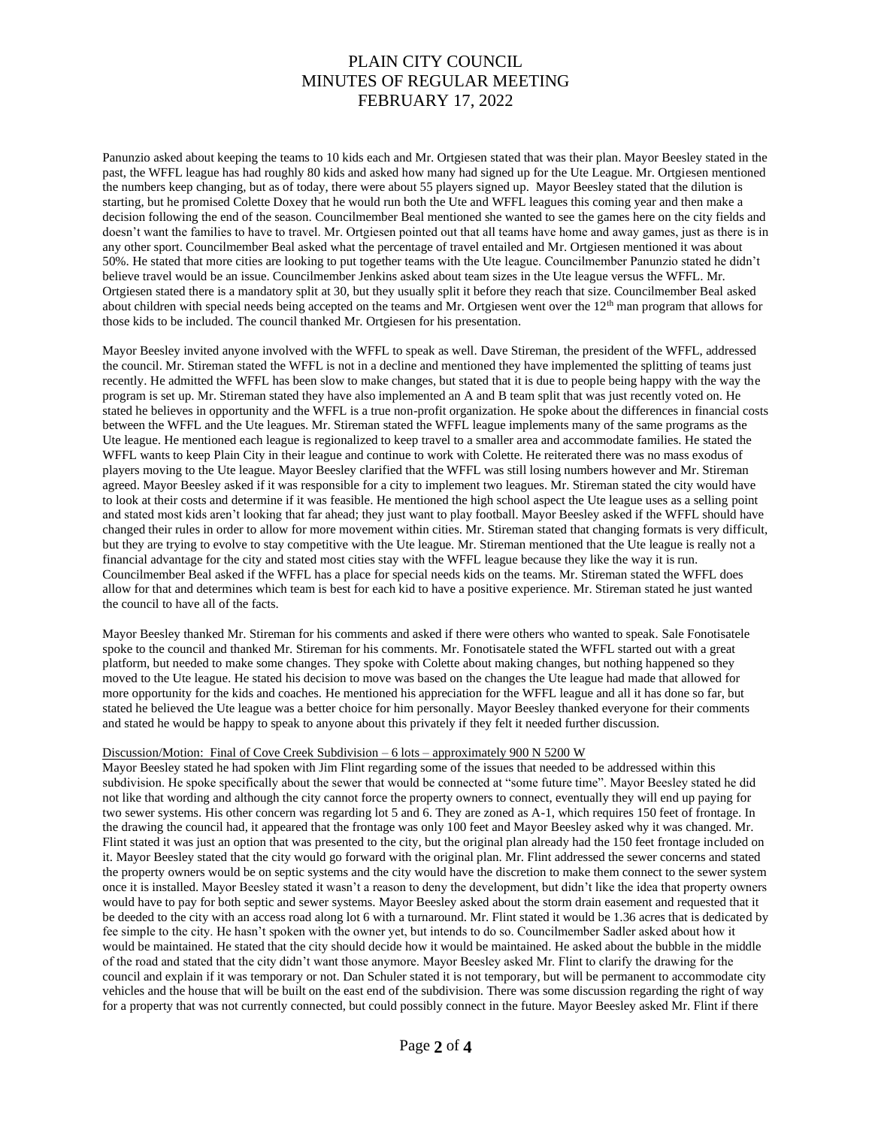Panunzio asked about keeping the teams to 10 kids each and Mr. Ortgiesen stated that was their plan. Mayor Beesley stated in the past, the WFFL league has had roughly 80 kids and asked how many had signed up for the Ute League. Mr. Ortgiesen mentioned the numbers keep changing, but as of today, there were about 55 players signed up. Mayor Beesley stated that the dilution is starting, but he promised Colette Doxey that he would run both the Ute and WFFL leagues this coming year and then make a decision following the end of the season. Councilmember Beal mentioned she wanted to see the games here on the city fields and doesn't want the families to have to travel. Mr. Ortgiesen pointed out that all teams have home and away games, just as there is in any other sport. Councilmember Beal asked what the percentage of travel entailed and Mr. Ortgiesen mentioned it was about 50%. He stated that more cities are looking to put together teams with the Ute league. Councilmember Panunzio stated he didn't believe travel would be an issue. Councilmember Jenkins asked about team sizes in the Ute league versus the WFFL. Mr. Ortgiesen stated there is a mandatory split at 30, but they usually split it before they reach that size. Councilmember Beal asked about children with special needs being accepted on the teams and Mr. Ortgiesen went over the 12<sup>th</sup> man program that allows for those kids to be included. The council thanked Mr. Ortgiesen for his presentation.

Mayor Beesley invited anyone involved with the WFFL to speak as well. Dave Stireman, the president of the WFFL, addressed the council. Mr. Stireman stated the WFFL is not in a decline and mentioned they have implemented the splitting of teams just recently. He admitted the WFFL has been slow to make changes, but stated that it is due to people being happy with the way the program is set up. Mr. Stireman stated they have also implemented an A and B team split that was just recently voted on. He stated he believes in opportunity and the WFFL is a true non-profit organization. He spoke about the differences in financial costs between the WFFL and the Ute leagues. Mr. Stireman stated the WFFL league implements many of the same programs as the Ute league. He mentioned each league is regionalized to keep travel to a smaller area and accommodate families. He stated the WFFL wants to keep Plain City in their league and continue to work with Colette. He reiterated there was no mass exodus of players moving to the Ute league. Mayor Beesley clarified that the WFFL was still losing numbers however and Mr. Stireman agreed. Mayor Beesley asked if it was responsible for a city to implement two leagues. Mr. Stireman stated the city would have to look at their costs and determine if it was feasible. He mentioned the high school aspect the Ute league uses as a selling point and stated most kids aren't looking that far ahead; they just want to play football. Mayor Beesley asked if the WFFL should have changed their rules in order to allow for more movement within cities. Mr. Stireman stated that changing formats is very difficult, but they are trying to evolve to stay competitive with the Ute league. Mr. Stireman mentioned that the Ute league is really not a financial advantage for the city and stated most cities stay with the WFFL league because they like the way it is run. Councilmember Beal asked if the WFFL has a place for special needs kids on the teams. Mr. Stireman stated the WFFL does allow for that and determines which team is best for each kid to have a positive experience. Mr. Stireman stated he just wanted the council to have all of the facts.

Mayor Beesley thanked Mr. Stireman for his comments and asked if there were others who wanted to speak. Sale Fonotisatele spoke to the council and thanked Mr. Stireman for his comments. Mr. Fonotisatele stated the WFFL started out with a great platform, but needed to make some changes. They spoke with Colette about making changes, but nothing happened so they moved to the Ute league. He stated his decision to move was based on the changes the Ute league had made that allowed for more opportunity for the kids and coaches. He mentioned his appreciation for the WFFL league and all it has done so far, but stated he believed the Ute league was a better choice for him personally. Mayor Beesley thanked everyone for their comments and stated he would be happy to speak to anyone about this privately if they felt it needed further discussion.

### Discussion/Motion: Final of Cove Creek Subdivision – 6 lots – approximately 900 N 5200 W

Mayor Beesley stated he had spoken with Jim Flint regarding some of the issues that needed to be addressed within this subdivision. He spoke specifically about the sewer that would be connected at "some future time". Mayor Beesley stated he did not like that wording and although the city cannot force the property owners to connect, eventually they will end up paying for two sewer systems. His other concern was regarding lot 5 and 6. They are zoned as A-1, which requires 150 feet of frontage. In the drawing the council had, it appeared that the frontage was only 100 feet and Mayor Beesley asked why it was changed. Mr. Flint stated it was just an option that was presented to the city, but the original plan already had the 150 feet frontage included on it. Mayor Beesley stated that the city would go forward with the original plan. Mr. Flint addressed the sewer concerns and stated the property owners would be on septic systems and the city would have the discretion to make them connect to the sewer system once it is installed. Mayor Beesley stated it wasn't a reason to deny the development, but didn't like the idea that property owners would have to pay for both septic and sewer systems. Mayor Beesley asked about the storm drain easement and requested that it be deeded to the city with an access road along lot 6 with a turnaround. Mr. Flint stated it would be 1.36 acres that is dedicated by fee simple to the city. He hasn't spoken with the owner yet, but intends to do so. Councilmember Sadler asked about how it would be maintained. He stated that the city should decide how it would be maintained. He asked about the bubble in the middle of the road and stated that the city didn't want those anymore. Mayor Beesley asked Mr. Flint to clarify the drawing for the council and explain if it was temporary or not. Dan Schuler stated it is not temporary, but will be permanent to accommodate city vehicles and the house that will be built on the east end of the subdivision. There was some discussion regarding the right of way for a property that was not currently connected, but could possibly connect in the future. Mayor Beesley asked Mr. Flint if there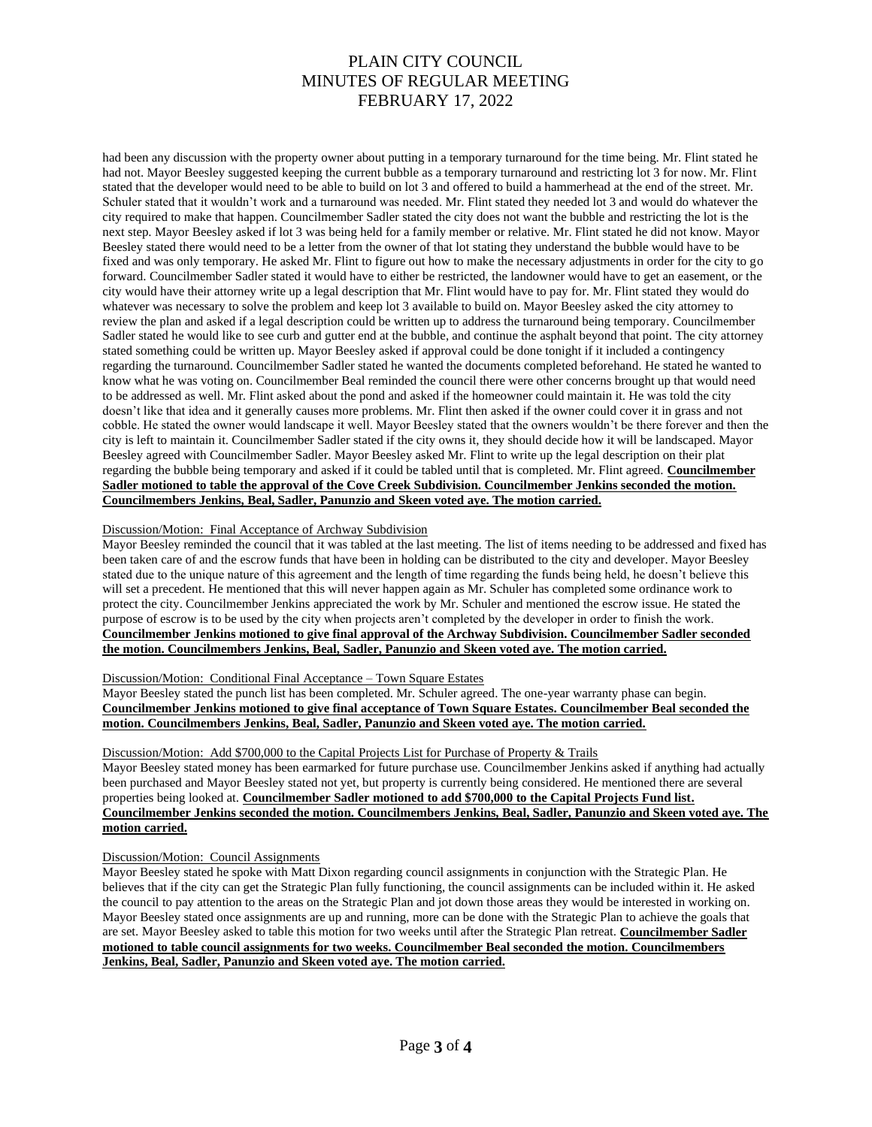had been any discussion with the property owner about putting in a temporary turnaround for the time being. Mr. Flint stated he had not. Mayor Beesley suggested keeping the current bubble as a temporary turnaround and restricting lot 3 for now. Mr. Flint stated that the developer would need to be able to build on lot 3 and offered to build a hammerhead at the end of the street. Mr. Schuler stated that it wouldn't work and a turnaround was needed. Mr. Flint stated they needed lot 3 and would do whatever the city required to make that happen. Councilmember Sadler stated the city does not want the bubble and restricting the lot is the next step. Mayor Beesley asked if lot 3 was being held for a family member or relative. Mr. Flint stated he did not know. Mayor Beesley stated there would need to be a letter from the owner of that lot stating they understand the bubble would have to be fixed and was only temporary. He asked Mr. Flint to figure out how to make the necessary adjustments in order for the city to go forward. Councilmember Sadler stated it would have to either be restricted, the landowner would have to get an easement, or the city would have their attorney write up a legal description that Mr. Flint would have to pay for. Mr. Flint stated they would do whatever was necessary to solve the problem and keep lot 3 available to build on. Mayor Beesley asked the city attorney to review the plan and asked if a legal description could be written up to address the turnaround being temporary. Councilmember Sadler stated he would like to see curb and gutter end at the bubble, and continue the asphalt beyond that point. The city attorney stated something could be written up. Mayor Beesley asked if approval could be done tonight if it included a contingency regarding the turnaround. Councilmember Sadler stated he wanted the documents completed beforehand. He stated he wanted to know what he was voting on. Councilmember Beal reminded the council there were other concerns brought up that would need to be addressed as well. Mr. Flint asked about the pond and asked if the homeowner could maintain it. He was told the city doesn't like that idea and it generally causes more problems. Mr. Flint then asked if the owner could cover it in grass and not cobble. He stated the owner would landscape it well. Mayor Beesley stated that the owners wouldn't be there forever and then the city is left to maintain it. Councilmember Sadler stated if the city owns it, they should decide how it will be landscaped. Mayor Beesley agreed with Councilmember Sadler. Mayor Beesley asked Mr. Flint to write up the legal description on their plat regarding the bubble being temporary and asked if it could be tabled until that is completed. Mr. Flint agreed. **Councilmember Sadler motioned to table the approval of the Cove Creek Subdivision. Councilmember Jenkins seconded the motion. Councilmembers Jenkins, Beal, Sadler, Panunzio and Skeen voted aye. The motion carried.**

### Discussion/Motion: Final Acceptance of Archway Subdivision

Mayor Beesley reminded the council that it was tabled at the last meeting. The list of items needing to be addressed and fixed has been taken care of and the escrow funds that have been in holding can be distributed to the city and developer. Mayor Beesley stated due to the unique nature of this agreement and the length of time regarding the funds being held, he doesn't believe this will set a precedent. He mentioned that this will never happen again as Mr. Schuler has completed some ordinance work to protect the city. Councilmember Jenkins appreciated the work by Mr. Schuler and mentioned the escrow issue. He stated the purpose of escrow is to be used by the city when projects aren't completed by the developer in order to finish the work. **Councilmember Jenkins motioned to give final approval of the Archway Subdivision. Councilmember Sadler seconded the motion. Councilmembers Jenkins, Beal, Sadler, Panunzio and Skeen voted aye. The motion carried.**

# Discussion/Motion: Conditional Final Acceptance – Town Square Estates

Mayor Beesley stated the punch list has been completed. Mr. Schuler agreed. The one-year warranty phase can begin. **Councilmember Jenkins motioned to give final acceptance of Town Square Estates. Councilmember Beal seconded the motion. Councilmembers Jenkins, Beal, Sadler, Panunzio and Skeen voted aye. The motion carried.**

#### Discussion/Motion: Add \$700,000 to the Capital Projects List for Purchase of Property & Trails

Mayor Beesley stated money has been earmarked for future purchase use. Councilmember Jenkins asked if anything had actually been purchased and Mayor Beesley stated not yet, but property is currently being considered. He mentioned there are several properties being looked at. **Councilmember Sadler motioned to add \$700,000 to the Capital Projects Fund list. Councilmember Jenkins seconded the motion. Councilmembers Jenkins, Beal, Sadler, Panunzio and Skeen voted aye. The motion carried.**

# Discussion/Motion: Council Assignments

Mayor Beesley stated he spoke with Matt Dixon regarding council assignments in conjunction with the Strategic Plan. He believes that if the city can get the Strategic Plan fully functioning, the council assignments can be included within it. He asked the council to pay attention to the areas on the Strategic Plan and jot down those areas they would be interested in working on. Mayor Beesley stated once assignments are up and running, more can be done with the Strategic Plan to achieve the goals that are set. Mayor Beesley asked to table this motion for two weeks until after the Strategic Plan retreat. **Councilmember Sadler motioned to table council assignments for two weeks. Councilmember Beal seconded the motion. Councilmembers Jenkins, Beal, Sadler, Panunzio and Skeen voted aye. The motion carried.**